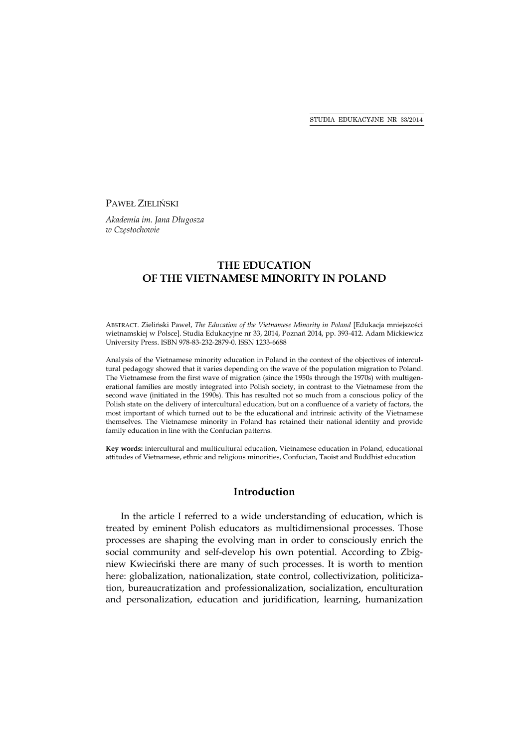PAWEŁ ZIELIŃSKI

*Akademia im. Jana Długosza w Częstochowie* 

# **THE EDUCATION OF THE VIETNAMESE MINORITY IN POLAND**

ABSTRACT. Zieliński Paweł, *The Education of the Vietnamese Minority in Poland* [Edukacja mniejszości wietnamskiej w Polsce]. Studia Edukacyjne nr 33, 2014, Poznań 2014, pp. 393-412. Adam Mickiewicz University Press. ISBN 978-83-232-2879-0. ISSN 1233-6688

Analysis of the Vietnamese minority education in Poland in the context of the objectives of intercultural pedagogy showed that it varies depending on the wave of the population migration to Poland. The Vietnamese from the first wave of migration (since the 1950s through the 1970s) with multigenerational families are mostly integrated into Polish society, in contrast to the Vietnamese from the second wave (initiated in the 1990s). This has resulted not so much from a conscious policy of the Polish state on the delivery of intercultural education, but on a confluence of a variety of factors, the most important of which turned out to be the educational and intrinsic activity of the Vietnamese themselves. The Vietnamese minority in Poland has retained their national identity and provide family education in line with the Confucian patterns.

**Key words:** intercultural and multicultural education, Vietnamese education in Poland, educational attitudes of Vietnamese, ethnic and religious minorities, Confucian, Taoist and Buddhist education

### **Introduction**

In the article I referred to a wide understanding of education, which is treated by eminent Polish educators as multidimensional processes. Those processes are shaping the evolving man in order to consciously enrich the social community and self-develop his own potential. According to Zbigniew Kwieciński there are many of such processes. It is worth to mention here: globalization, nationalization, state control, collectivization, politicization, bureaucratization and professionalization, socialization, enculturation and personalization, education and juridification, learning, humanization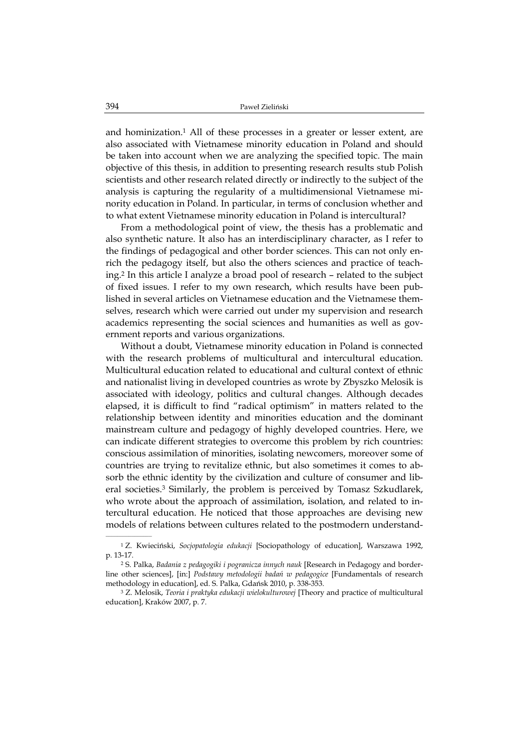and hominization.1 All of these processes in a greater or lesser extent, are also associated with Vietnamese minority education in Poland and should be taken into account when we are analyzing the specified topic. The main objective of this thesis, in addition to presenting research results stub Polish scientists and other research related directly or indirectly to the subject of the analysis is capturing the regularity of a multidimensional Vietnamese minority education in Poland. In particular, in terms of conclusion whether and to what extent Vietnamese minority education in Poland is intercultural?

From a methodological point of view, the thesis has a problematic and also synthetic nature. It also has an interdisciplinary character, as I refer to the findings of pedagogical and other border sciences. This can not only enrich the pedagogy itself, but also the others sciences and practice of teaching.2 In this article I analyze a broad pool of research – related to the subject of fixed issues. I refer to my own research, which results have been published in several articles on Vietnamese education and the Vietnamese themselves, research which were carried out under my supervision and research academics representing the social sciences and humanities as well as government reports and various organizations.

Without a doubt, Vietnamese minority education in Poland is connected with the research problems of multicultural and intercultural education. Multicultural education related to educational and cultural context of ethnic and nationalist living in developed countries as wrote by Zbyszko Melosik is associated with ideology, politics and cultural changes. Although decades elapsed, it is difficult to find "radical optimism" in matters related to the relationship between identity and minorities education and the dominant mainstream culture and pedagogy of highly developed countries. Here, we can indicate different strategies to overcome this problem by rich countries: conscious assimilation of minorities, isolating newcomers, moreover some of countries are trying to revitalize ethnic, but also sometimes it comes to absorb the ethnic identity by the civilization and culture of consumer and liberal societies.3 Similarly, the problem is perceived by Tomasz Szkudlarek, who wrote about the approach of assimilation, isolation, and related to intercultural education. He noticed that those approaches are devising new models of relations between cultures related to the postmodern understand-

<sup>1</sup> Z. Kwieciński, *Socjopatologia edukacji* [Sociopathology of education], Warszawa 1992, p. 13-17.

<sup>2</sup> S. Palka, *Badania z pedagogiki i pogranicza innych nauk* [Research in Pedagogy and borderline other sciences], [in:] *Podstawy metodologii badań w pedagogice* [Fundamentals of research methodology in education], ed. S. Palka, Gdańsk 2010, p. 338-353.

<sup>3</sup> Z. Melosik, *Teoria i praktyka edukacji wielokulturowej* [Theory and practice of multicultural education], Kraków 2007, p. 7.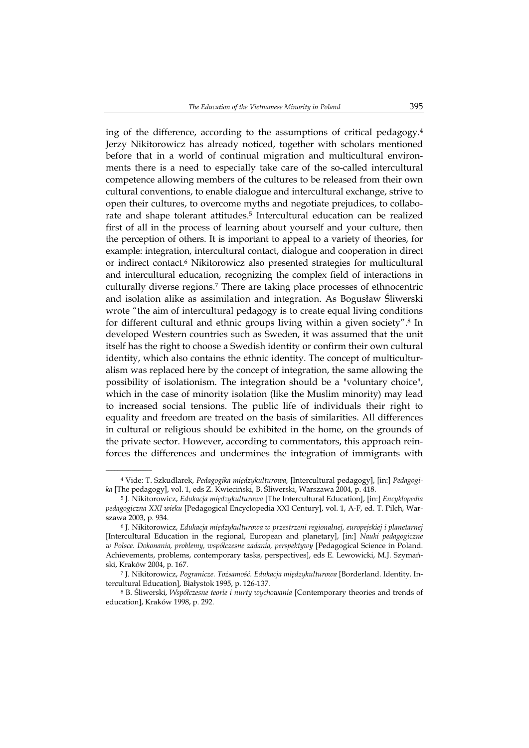ing of the difference, according to the assumptions of critical pedagogy. $4$ Jerzy Nikitorowicz has already noticed, together with scholars mentioned before that in a world of continual migration and multicultural environments there is a need to especially take care of the so-called intercultural competence allowing members of the cultures to be released from their own cultural conventions, to enable dialogue and intercultural exchange, strive to open their cultures, to overcome myths and negotiate prejudices, to collaborate and shape tolerant attitudes.5 Intercultural education can be realized first of all in the process of learning about yourself and your culture, then the perception of others. It is important to appeal to a variety of theories, for example: integration, intercultural contact, dialogue and cooperation in direct or indirect contact.6 Nikitorowicz also presented strategies for multicultural and intercultural education, recognizing the complex field of interactions in culturally diverse regions.7 There are taking place processes of ethnocentric and isolation alike as assimilation and integration. As Bogusław Śliwerski wrote "the aim of intercultural pedagogy is to create equal living conditions for different cultural and ethnic groups living within a given society".8 In developed Western countries such as Sweden, it was assumed that the unit itself has the right to choose a Swedish identity or confirm their own cultural identity, which also contains the ethnic identity. The concept of multiculturalism was replaced here by the concept of integration, the same allowing the possibility of isolationism. The integration should be a "voluntary choice", which in the case of minority isolation (like the Muslim minority) may lead to increased social tensions. The public life of individuals their right to equality and freedom are treated on the basis of similarities. All differences in cultural or religious should be exhibited in the home, on the grounds of the private sector. However, according to commentators, this approach reinforces the differences and undermines the integration of immigrants with

<sup>4</sup> Vide: T. Szkudlarek, *Pedagogika międzykulturowa*, [Intercultural pedagogy], [in:] *Pedagogika* [The pedagogy], vol. 1, eds Z. Kwieciński, B. Śliwerski, Warszawa 2004, p. 418.

<sup>5</sup> J. Nikitorowicz, *Edukacja międzykulturowa* [The Intercultural Education], [in:] *Encyklopedia pedagogiczna XXI wieku* [Pedagogical Encyclopedia XXI Century], vol. 1, A-F, ed. T. Pilch, Warszawa 2003, p. 934.

<sup>6</sup> J. Nikitorowicz, *Edukacja międzykulturowa w przestrzeni regionalnej, europejskiej i planetarnej* [Intercultural Education in the regional, European and planetary], [in:] *Nauki pedagogiczne w Polsce. Dokonania, problemy, współczesne zadania, perspektywy* [Pedagogical Science in Poland. Achievements, problems, contemporary tasks, perspectives], eds E. Lewowicki, M.J. Szymański, Kraków 2004, p. 167.

<sup>7</sup> J. Nikitorowicz, *Pogranicze. Tożsamość. Edukacja międzykulturowa* [Borderland. Identity. Intercultural Education], Białystok 1995, p. 126-137.

<sup>8</sup> B. Śliwerski, *Współczesne teorie i nurty wychowania* [Contemporary theories and trends of education], Kraków 1998, p. 292.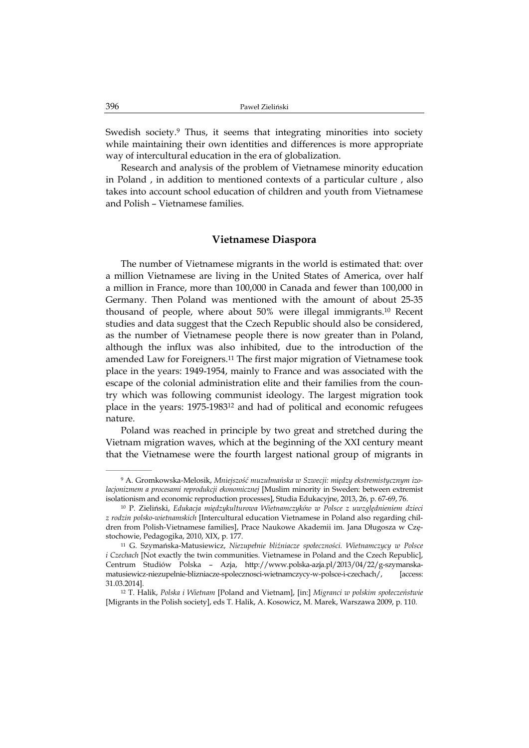Swedish society.<sup>9</sup> Thus, it seems that integrating minorities into society while maintaining their own identities and differences is more appropriate way of intercultural education in the era of globalization.

Research and analysis of the problem of Vietnamese minority education in Poland , in addition to mentioned contexts of a particular culture , also takes into account school education of children and youth from Vietnamese and Polish – Vietnamese families.

#### **Vietnamese Diaspora**

The number of Vietnamese migrants in the world is estimated that: over a million Vietnamese are living in the United States of America, over half a million in France, more than 100,000 in Canada and fewer than 100,000 in Germany. Then Poland was mentioned with the amount of about 25-35 thousand of people, where about 50% were illegal immigrants.10 Recent studies and data suggest that the Czech Republic should also be considered, as the number of Vietnamese people there is now greater than in Poland, although the influx was also inhibited, due to the introduction of the amended Law for Foreigners.11 The first major migration of Vietnamese took place in the years: 1949-1954, mainly to France and was associated with the escape of the colonial administration elite and their families from the country which was following communist ideology. The largest migration took place in the years: 1975-198312 and had of political and economic refugees nature.

Poland was reached in principle by two great and stretched during the Vietnam migration waves, which at the beginning of the XXI century meant that the Vietnamese were the fourth largest national group of migrants in

<sup>9</sup> A. Gromkowska-Melosik, *Mniejszość muzułmańska w Szwecji: między ekstremistycznym izolacjonizmem a procesami reprodukcji ekonomicznej* [Muslim minority in Sweden: between extremist isolationism and economic reproduction processes], Studia Edukacyjne, 2013, 26, p. 67-69, 76.

<sup>10</sup> P. Zieliński, *Edukacja międzykulturowa Wietnamczyków w Polsce z uwzględnieniem dzieci z rodzin polsko-wietnamskich* [Intercultural education Vietnamese in Poland also regarding children from Polish-Vietnamese families], Prace Naukowe Akademii im. Jana Długosza w Częstochowie, Pedagogika, 2010, XIX, p. 177.

<sup>11</sup> G. Szymańska-Matusiewicz, *Niezupełnie bliźniacze społeczności. Wietnamczycy w Polsce i Czechach* [Not exactly the twin communities. Vietnamese in Poland and the Czech Republic], Centrum Studiów Polska – Azja, http://www.polska-azja.pl/2013/04/22/g-szymanskamatusiewicz-niezupelnie-blizniacze-spolecznosci-wietnamczycy-w-polsce-i-czechach/, [access: 31.03.2014].

<sup>12</sup> T. Halik, *Polska i Wietnam* [Poland and Vietnam], [in:] *Migranci w polskim społeczeństwie* [Migrants in the Polish society], eds T. Halik, A. Kosowicz, M. Marek, Warszawa 2009, p. 110.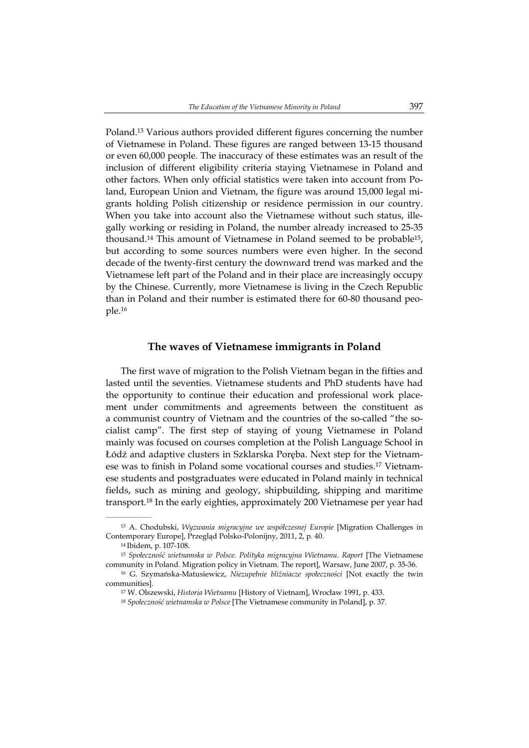Poland.13 Various authors provided different figures concerning the number of Vietnamese in Poland. These figures are ranged between 13-15 thousand or even 60,000 people. The inaccuracy of these estimates was an result of the inclusion of different eligibility criteria staying Vietnamese in Poland and other factors. When only official statistics were taken into account from Poland, European Union and Vietnam, the figure was around 15,000 legal migrants holding Polish citizenship or residence permission in our country. When you take into account also the Vietnamese without such status, illegally working or residing in Poland, the number already increased to 25-35 thousand.14 This amount of Vietnamese in Poland seemed to be probable15, but according to some sources numbers were even higher. In the second decade of the twenty-first century the downward trend was marked and the Vietnamese left part of the Poland and in their place are increasingly occupy by the Chinese. Currently, more Vietnamese is living in the Czech Republic than in Poland and their number is estimated there for 60-80 thousand people.16

### **The waves of Vietnamese immigrants in Poland**

The first wave of migration to the Polish Vietnam began in the fifties and lasted until the seventies. Vietnamese students and PhD students have had the opportunity to continue their education and professional work placement under commitments and agreements between the constituent as a communist country of Vietnam and the countries of the so-called "the socialist camp". The first step of staying of young Vietnamese in Poland mainly was focused on courses completion at the Polish Language School in Łódź and adaptive clusters in Szklarska Poręba. Next step for the Vietnamese was to finish in Poland some vocational courses and studies.17 Vietnamese students and postgraduates were educated in Poland mainly in technical fields, such as mining and geology, shipbuilding, shipping and maritime transport.18 In the early eighties, approximately 200 Vietnamese per year had

<sup>13</sup> A. Chodubski, *Wyzwania migracyjne we współczesnej Europie* [Migration Challenges in Contemporary Europe], Przegląd Polsko-Polonijny, 2011, 2, p. 40.

<sup>14</sup> Ibidem, p. 107-108.

<sup>15</sup> *Społeczność wietnamska w Polsce. Polityka migracyjna Wietnamu. Raport* [The Vietnamese community in Poland. Migration policy in Vietnam. The report], Warsaw, June 2007, p. 35-36.

<sup>16</sup> G. Szymańska-Matusiewicz, *Niezupełnie bliźniacze społeczności* [Not exactly the twin communities].

<sup>17</sup> W. Olszewski, *Historia Wietnamu* [History of Vietnam], Wrocław 1991, p. 433.

<sup>18</sup> *Społeczność wietnamska w Polsce* [The Vietnamese community in Poland], p. 37.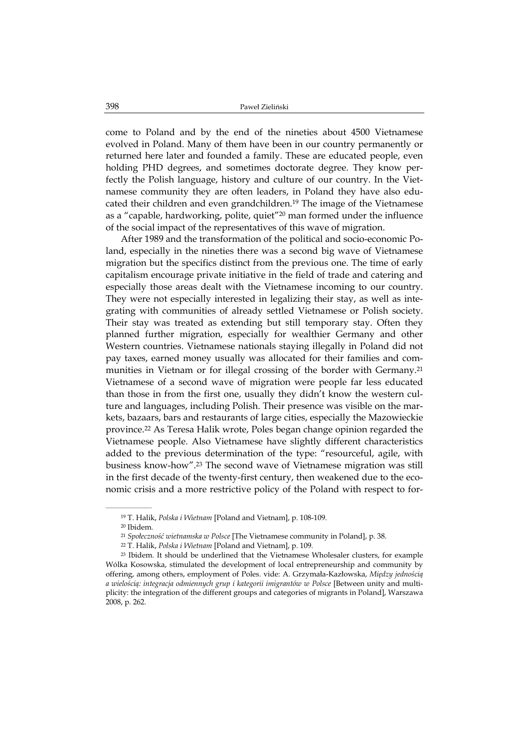come to Poland and by the end of the nineties about 4500 Vietnamese evolved in Poland. Many of them have been in our country permanently or returned here later and founded a family. These are educated people, even holding PHD degrees, and sometimes doctorate degree. They know perfectly the Polish language, history and culture of our country. In the Vietnamese community they are often leaders, in Poland they have also educated their children and even grandchildren.19 The image of the Vietnamese as a "capable, hardworking, polite, quiet"20 man formed under the influence of the social impact of the representatives of this wave of migration.

After 1989 and the transformation of the political and socio-economic Poland, especially in the nineties there was a second big wave of Vietnamese migration but the specifics distinct from the previous one. The time of early capitalism encourage private initiative in the field of trade and catering and especially those areas dealt with the Vietnamese incoming to our country. They were not especially interested in legalizing their stay, as well as integrating with communities of already settled Vietnamese or Polish society. Their stay was treated as extending but still temporary stay. Often they planned further migration, especially for wealthier Germany and other Western countries. Vietnamese nationals staying illegally in Poland did not pay taxes, earned money usually was allocated for their families and communities in Vietnam or for illegal crossing of the border with Germany.<sup>21</sup> Vietnamese of a second wave of migration were people far less educated than those in from the first one, usually they didn't know the western culture and languages, including Polish. Their presence was visible on the markets, bazaars, bars and restaurants of large cities, especially the Mazowieckie province.22 As Teresa Halik wrote, Poles began change opinion regarded the Vietnamese people. Also Vietnamese have slightly different characteristics added to the previous determination of the type: "resourceful, agile, with business know-how".23 The second wave of Vietnamese migration was still in the first decade of the twenty-first century, then weakened due to the economic crisis and a more restrictive policy of the Poland with respect to for-

<sup>19</sup> T. Halik, *Polska i Wietnam* [Poland and Vietnam], p. 108-109.

<sup>20</sup> Ibidem.

<sup>21</sup> *Społeczność wietnamska w Polsce* [The Vietnamese community in Poland], p. 38.

<sup>22</sup> T. Halik, *Polska i Wietnam* [Poland and Vietnam], p. 109.

<sup>23</sup> Ibidem. It should be underlined that the Vietnamese Wholesaler clusters, for example Wólka Kosowska, stimulated the development of local entrepreneurship and community by offering, among others, employment of Poles. vide: A. Grzymała-Kazłowska, *Między jednością a wielością: integracja odmiennych grup i kategorii imigrantów w Polsce* [Between unity and multiplicity: the integration of the different groups and categories of migrants in Poland], Warszawa 2008, p. 262.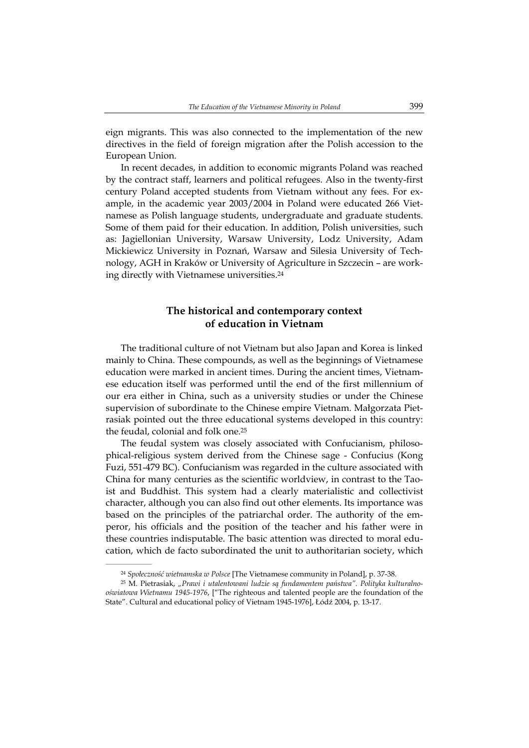eign migrants. This was also connected to the implementation of the new directives in the field of foreign migration after the Polish accession to the European Union.

In recent decades, in addition to economic migrants Poland was reached by the contract staff, learners and political refugees. Also in the twenty-first century Poland accepted students from Vietnam without any fees. For example, in the academic year 2003/2004 in Poland were educated 266 Vietnamese as Polish language students, undergraduate and graduate students. Some of them paid for their education. In addition, Polish universities, such as: Jagiellonian University, Warsaw University, Lodz University, Adam Mickiewicz University in Poznań, Warsaw and Silesia University of Technology, AGH in Kraków or University of Agriculture in Szczecin – are working directly with Vietnamese universities.24

## **The historical and contemporary context of education in Vietnam**

The traditional culture of not Vietnam but also Japan and Korea is linked mainly to China. These compounds, as well as the beginnings of Vietnamese education were marked in ancient times. During the ancient times, Vietnamese education itself was performed until the end of the first millennium of our era either in China, such as a university studies or under the Chinese supervision of subordinate to the Chinese empire Vietnam. Małgorzata Pietrasiak pointed out the three educational systems developed in this country: the feudal, colonial and folk one.25

The feudal system was closely associated with Confucianism, philosophical-religious system derived from the Chinese sage - Confucius (Kong Fuzi, 551-479 BC). Confucianism was regarded in the culture associated with China for many centuries as the scientific worldview, in contrast to the Taoist and Buddhist. This system had a clearly materialistic and collectivist character, although you can also find out other elements. Its importance was based on the principles of the patriarchal order. The authority of the emperor, his officials and the position of the teacher and his father were in these countries indisputable. The basic attention was directed to moral education, which de facto subordinated the unit to authoritarian society, which

<sup>24</sup> *Społeczność wietnamska w Polsce* [The Vietnamese community in Poland], p. 37-38.

<sup>25</sup> M. Pietrasiak, *"Prawi i utalentowani ludzie są fundamentem państwa". Polityka kulturalnooświatowa Wietnamu 1945-1976*, ["The righteous and talented people are the foundation of the State". Cultural and educational policy of Vietnam 1945-1976], Łódź 2004, p. 13-17.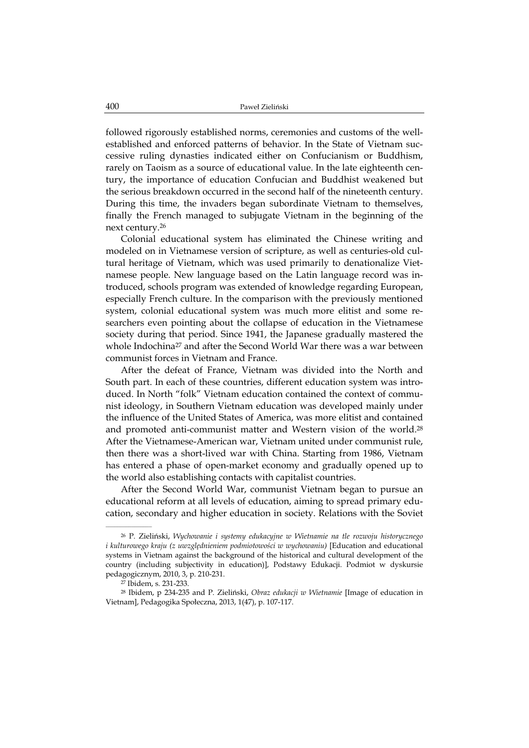followed rigorously established norms, ceremonies and customs of the wellestablished and enforced patterns of behavior. In the State of Vietnam successive ruling dynasties indicated either on Confucianism or Buddhism, rarely on Taoism as a source of educational value. In the late eighteenth century, the importance of education Confucian and Buddhist weakened but the serious breakdown occurred in the second half of the nineteenth century. During this time, the invaders began subordinate Vietnam to themselves, finally the French managed to subjugate Vietnam in the beginning of the next century.26

Colonial educational system has eliminated the Chinese writing and modeled on in Vietnamese version of scripture, as well as centuries-old cultural heritage of Vietnam, which was used primarily to denationalize Vietnamese people. New language based on the Latin language record was introduced, schools program was extended of knowledge regarding European, especially French culture. In the comparison with the previously mentioned system, colonial educational system was much more elitist and some researchers even pointing about the collapse of education in the Vietnamese society during that period. Since 1941, the Japanese gradually mastered the whole Indochina<sup>27</sup> and after the Second World War there was a war between communist forces in Vietnam and France.

After the defeat of France, Vietnam was divided into the North and South part. In each of these countries, different education system was introduced. In North "folk" Vietnam education contained the context of communist ideology, in Southern Vietnam education was developed mainly under the influence of the United States of America, was more elitist and contained and promoted anti-communist matter and Western vision of the world.<sup>28</sup> After the Vietnamese-American war, Vietnam united under communist rule, then there was a short-lived war with China. Starting from 1986, Vietnam has entered a phase of open-market economy and gradually opened up to the world also establishing contacts with capitalist countries.

After the Second World War, communist Vietnam began to pursue an educational reform at all levels of education, aiming to spread primary education, secondary and higher education in society. Relations with the Soviet

<sup>26</sup> P. Zieliński, *Wychowanie i systemy edukacyjne w Wietnamie na tle rozwoju historycznego i kulturowego kraju (z uwzględnieniem podmiotowości w wychowaniu)* [Education and educational systems in Vietnam against the background of the historical and cultural development of the country (including subjectivity in education)], Podstawy Edukacji. Podmiot w dyskursie pedagogicznym, 2010, 3, p. 210-231.

<sup>27</sup> Ibidem, s. 231-233.

<sup>28</sup> Ibidem, p 234-235 and P. Zieliński, *Obraz edukacji w Wietnamie* [Image of education in Vietnam], Pedagogika Społeczna, 2013, 1(47), p. 107-117.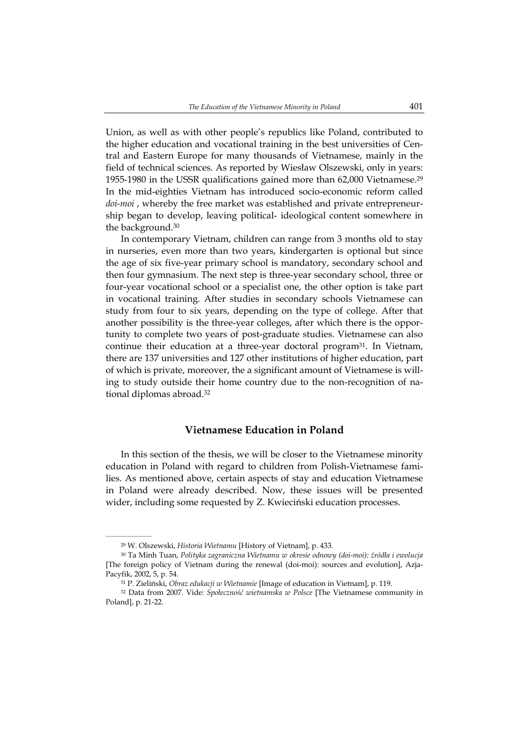Union, as well as with other people's republics like Poland, contributed to the higher education and vocational training in the best universities of Central and Eastern Europe for many thousands of Vietnamese, mainly in the field of technical sciences. As reported by Wiesław Olszewski, only in years: 1955-1980 in the USSR qualifications gained more than 62,000 Vietnamese.<sup>29</sup> In the mid-eighties Vietnam has introduced socio-economic reform called *doi-moi* , whereby the free market was established and private entrepreneurship began to develop, leaving political- ideological content somewhere in the background.30

In contemporary Vietnam, children can range from 3 months old to stay in nurseries, even more than two years, kindergarten is optional but since the age of six five-year primary school is mandatory, secondary school and then four gymnasium. The next step is three-year secondary school, three or four-year vocational school or a specialist one, the other option is take part in vocational training. After studies in secondary schools Vietnamese can study from four to six years, depending on the type of college. After that another possibility is the three-year colleges, after which there is the opportunity to complete two years of post-graduate studies. Vietnamese can also continue their education at a three-year doctoral program<sup>31</sup>. In Vietnam, there are 137 universities and 127 other institutions of higher education, part of which is private, moreover, the a significant amount of Vietnamese is willing to study outside their home country due to the non-recognition of national diplomas abroad.32

### **Vietnamese Education in Poland**

In this section of the thesis, we will be closer to the Vietnamese minority education in Poland with regard to children from Polish-Vietnamese families. As mentioned above, certain aspects of stay and education Vietnamese in Poland were already described. Now, these issues will be presented wider, including some requested by Z. Kwieciński education processes.

<sup>29</sup> W. Olszewski, *Historia Wietnamu* [History of Vietnam], p. 433.

<sup>30</sup> Ta Minh Tuan, *Polityka zagraniczna Wietnamu w okresie odnowy (doi-moi): źródła i ewolucja*  [The foreign policy of Vietnam during the renewal (doi-moi): sources and evolution], Azja-Pacyfik, 2002, 5, p. 54.

<sup>31</sup> P. Zieliński, *Obraz edukacji w Wietnamie* [Image of education in Vietnam], p. 119.

<sup>32</sup> Data from 2007. Vide: *Społeczność wietnamska w Polsce* [The Vietnamese community in Poland], p. 21-22.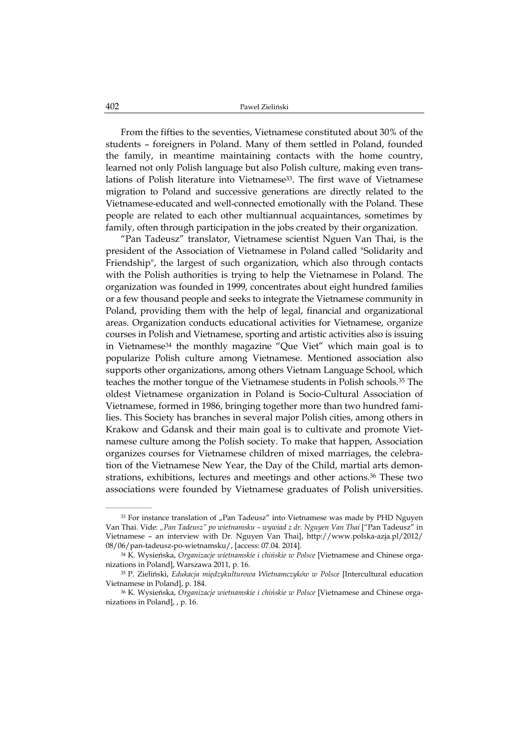From the fifties to the seventies, Vietnamese constituted about 30% of the students – foreigners in Poland. Many of them settled in Poland, founded the family, in meantime maintaining contacts with the home country, learned not only Polish language but also Polish culture, making even translations of Polish literature into Vietnamese<sup>33</sup>. The first wave of Vietnamese migration to Poland and successive generations are directly related to the Vietnamese-educated and well-connected emotionally with the Poland. These people are related to each other multiannual acquaintances, sometimes by family, often through participation in the jobs created by their organization.

"Pan Tadeusz" translator, Vietnamese scientist Nguen Van Thai, is the president of the Association of Vietnamese in Poland called "Solidarity and Friendship", the largest of such organization, which also through contacts with the Polish authorities is trying to help the Vietnamese in Poland. The organization was founded in 1999, concentrates about eight hundred families or a few thousand people and seeks to integrate the Vietnamese community in Poland, providing them with the help of legal, financial and organizational areas. Organization conducts educational activities for Vietnamese, organize courses in Polish and Vietnamese, sporting and artistic activities also is issuing in Vietnamese34 the monthly magazine "Que Viet" which main goal is to popularize Polish culture among Vietnamese. Mentioned association also supports other organizations, among others Vietnam Language School, which teaches the mother tongue of the Vietnamese students in Polish schools.35 The oldest Vietnamese organization in Poland is Socio-Cultural Association of Vietnamese, formed in 1986, bringing together more than two hundred families. This Society has branches in several major Polish cities, among others in Krakow and Gdansk and their main goal is to cultivate and promote Vietnamese culture among the Polish society. To make that happen, Association organizes courses for Vietnamese children of mixed marriages, the celebration of the Vietnamese New Year, the Day of the Child, martial arts demonstrations, exhibitions, lectures and meetings and other actions.36 These two associations were founded by Vietnamese graduates of Polish universities.

<sup>&</sup>lt;sup>33</sup> For instance translation of "Pan Tadeusz" into Vietnamese was made by PHD Nguyen Van Thai. Vide: *"Pan Tadeusz" po wietnamsku – wywiad z dr. Nguyen Van Thai* ["Pan Tadeusz" in Vietnamese – an interview with Dr. Nguyen Van Thai], http://www.polska-azja.pl/2012/ 08/06/pan-tadeusz-po-wietnamsku/, [access: 07.04. 2014].

<sup>34</sup> K. Wysieńska, *Organizacje wietnamskie i chińskie w Polsce* [Vietnamese and Chinese organizations in Poland], Warszawa 2011, p. 16.

<sup>35</sup> P. Zieliński, *Edukacja międzykulturowa Wietnamczyków w Polsce* [Intercultural education Vietnamese in Poland], p. 184.

<sup>36</sup> K. Wysieńska, *Organizacje wietnamskie i chińskie w Polsce* [Vietnamese and Chinese organizations in Poland], , p. 16.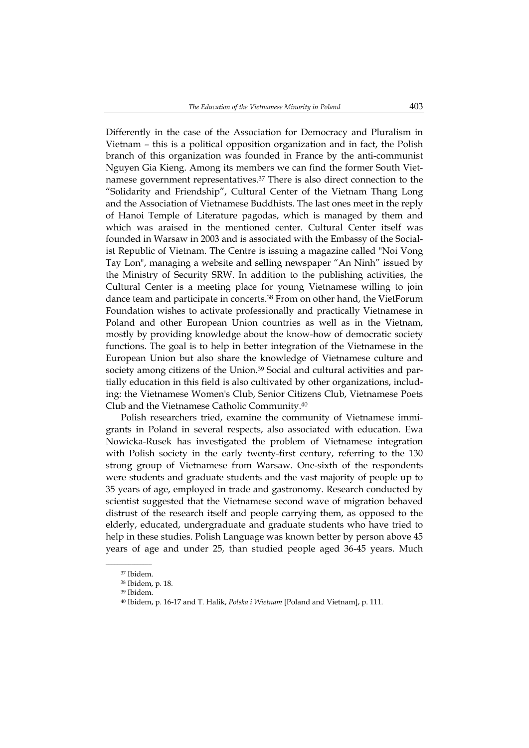Differently in the case of the Association for Democracy and Pluralism in Vietnam – this is a political opposition organization and in fact, the Polish branch of this organization was founded in France by the anti-communist Nguyen Gia Kieng. Among its members we can find the former South Vietnamese government representatives.37 There is also direct connection to the "Solidarity and Friendship", Cultural Center of the Vietnam Thang Long and the Association of Vietnamese Buddhists. The last ones meet in the reply of Hanoi Temple of Literature pagodas, which is managed by them and which was araised in the mentioned center. Cultural Center itself was founded in Warsaw in 2003 and is associated with the Embassy of the Socialist Republic of Vietnam. The Centre is issuing a magazine called "Noi Vong Tay Lon", managing a website and selling newspaper "An Ninh" issued by the Ministry of Security SRW. In addition to the publishing activities, the Cultural Center is a meeting place for young Vietnamese willing to join dance team and participate in concerts.38 From on other hand, the VietForum Foundation wishes to activate professionally and practically Vietnamese in Poland and other European Union countries as well as in the Vietnam, mostly by providing knowledge about the know-how of democratic society functions. The goal is to help in better integration of the Vietnamese in the European Union but also share the knowledge of Vietnamese culture and society among citizens of the Union.<sup>39</sup> Social and cultural activities and partially education in this field is also cultivated by other organizations, including: the Vietnamese Women's Club, Senior Citizens Club, Vietnamese Poets Club and the Vietnamese Catholic Community.40

Polish researchers tried, examine the community of Vietnamese immigrants in Poland in several respects, also associated with education. Ewa Nowicka-Rusek has investigated the problem of Vietnamese integration with Polish society in the early twenty-first century, referring to the 130 strong group of Vietnamese from Warsaw. One-sixth of the respondents were students and graduate students and the vast majority of people up to 35 years of age, employed in trade and gastronomy. Research conducted by scientist suggested that the Vietnamese second wave of migration behaved distrust of the research itself and people carrying them, as opposed to the elderly, educated, undergraduate and graduate students who have tried to help in these studies. Polish Language was known better by person above 45 years of age and under 25, than studied people aged 36-45 years. Much

<sup>37</sup> Ibidem.

<sup>38</sup> Ibidem, p. 18.

<sup>39</sup> Ibidem.

<sup>40</sup> Ibidem, p. 16-17 and T. Halik, *Polska i Wietnam* [Poland and Vietnam], p. 111.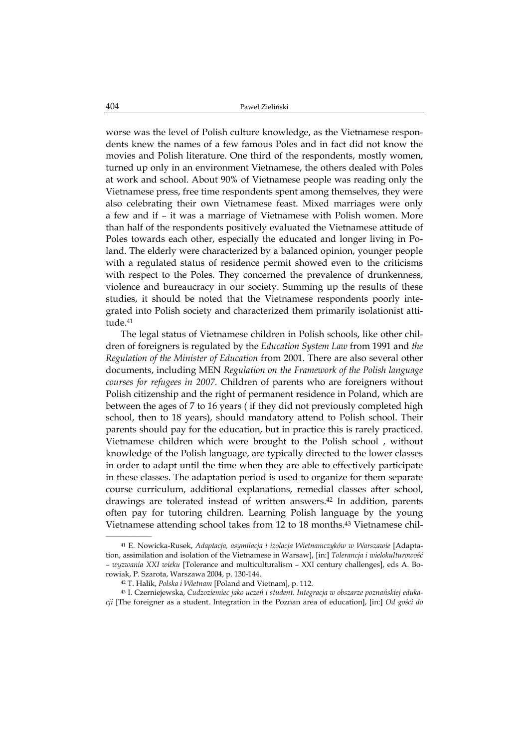worse was the level of Polish culture knowledge, as the Vietnamese respondents knew the names of a few famous Poles and in fact did not know the movies and Polish literature. One third of the respondents, mostly women, turned up only in an environment Vietnamese, the others dealed with Poles at work and school. About 90% of Vietnamese people was reading only the Vietnamese press, free time respondents spent among themselves, they were also celebrating their own Vietnamese feast. Mixed marriages were only a few and if – it was a marriage of Vietnamese with Polish women. More than half of the respondents positively evaluated the Vietnamese attitude of Poles towards each other, especially the educated and longer living in Poland. The elderly were characterized by a balanced opinion, younger people with a regulated status of residence permit showed even to the criticisms with respect to the Poles. They concerned the prevalence of drunkenness, violence and bureaucracy in our society. Summing up the results of these studies, it should be noted that the Vietnamese respondents poorly integrated into Polish society and characterized them primarily isolationist attitude.41

The legal status of Vietnamese children in Polish schools, like other children of foreigners is regulated by the *Education System Law* from 1991 and *the Regulation of the Minister of Education* from 2001. There are also several other documents, including MEN *Regulation on the Framework of the Polish language courses for refugees in 2007*. Children of parents who are foreigners without Polish citizenship and the right of permanent residence in Poland, which are between the ages of 7 to 16 years ( if they did not previously completed high school, then to 18 years), should mandatory attend to Polish school. Their parents should pay for the education, but in practice this is rarely practiced. Vietnamese children which were brought to the Polish school , without knowledge of the Polish language, are typically directed to the lower classes in order to adapt until the time when they are able to effectively participate in these classes. The adaptation period is used to organize for them separate course curriculum, additional explanations, remedial classes after school, drawings are tolerated instead of written answers.42 In addition, parents often pay for tutoring children. Learning Polish language by the young Vietnamese attending school takes from 12 to 18 months.43 Vietnamese chil-  $\mathcal{L}=\mathcal{L}=\mathcal{L}=\mathcal{L}=\mathcal{L}=\mathcal{L}$ 

<sup>41</sup> E. Nowicka-Rusek, *Adaptacja, asymilacja i izolacja Wietnamczyków w Warszawie* [Adaptation, assimilation and isolation of the Vietnamese in Warsaw], [in:] *Tolerancja i wielokulturowość – wyzwania XXI wieku* [Tolerance and multiculturalism – XXI century challenges], eds A. Borowiak, P. Szarota, Warszawa 2004, p. 130-144.

<sup>42</sup> T. Halik, *Polska i Wietnam* [Poland and Vietnam], p. 112.

<sup>43</sup> I. Czerniejewska, *Cudzoziemiec jako uczeń i student. Integracja w obszarze poznańskiej edukacji* [The foreigner as a student. Integration in the Poznan area of education], [in:] *Od gości do*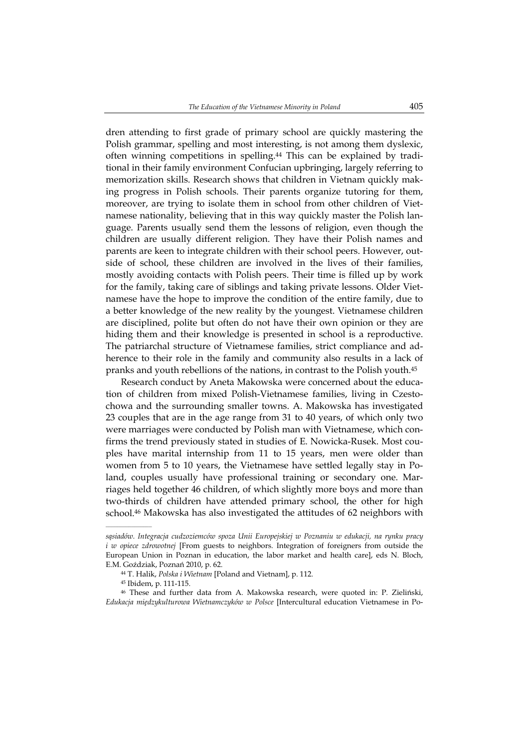dren attending to first grade of primary school are quickly mastering the Polish grammar, spelling and most interesting, is not among them dyslexic, often winning competitions in spelling.44 This can be explained by traditional in their family environment Confucian upbringing, largely referring to memorization skills. Research shows that children in Vietnam quickly making progress in Polish schools. Their parents organize tutoring for them, moreover, are trying to isolate them in school from other children of Vietnamese nationality, believing that in this way quickly master the Polish language. Parents usually send them the lessons of religion, even though the children are usually different religion. They have their Polish names and parents are keen to integrate children with their school peers. However, outside of school, these children are involved in the lives of their families, mostly avoiding contacts with Polish peers. Their time is filled up by work for the family, taking care of siblings and taking private lessons. Older Vietnamese have the hope to improve the condition of the entire family, due to a better knowledge of the new reality by the youngest. Vietnamese children are disciplined, polite but often do not have their own opinion or they are hiding them and their knowledge is presented in school is a reproductive. The patriarchal structure of Vietnamese families, strict compliance and adherence to their role in the family and community also results in a lack of pranks and youth rebellions of the nations, in contrast to the Polish youth.45

Research conduct by Aneta Makowska were concerned about the education of children from mixed Polish-Vietnamese families, living in Czestochowa and the surrounding smaller towns. A. Makowska has investigated 23 couples that are in the age range from 31 to 40 years, of which only two were marriages were conducted by Polish man with Vietnamese, which confirms the trend previously stated in studies of E. Nowicka-Rusek. Most couples have marital internship from 11 to 15 years, men were older than women from 5 to 10 years, the Vietnamese have settled legally stay in Poland, couples usually have professional training or secondary one. Marriages held together 46 children, of which slightly more boys and more than two-thirds of children have attended primary school, the other for high school.<sup>46</sup> Makowska has also investigated the attitudes of 62 neighbors with

*sąsiadów. Integracja cudzoziemców spoza Unii Europejskiej w Poznaniu w edukacji, na rynku pracy i w opiece zdrowotnej* [From guests to neighbors. Integration of foreigners from outside the European Union in Poznan in education, the labor market and health care], eds N. Bloch, E.M. Goździak, Poznań 2010, p. 62.

<sup>44</sup> T. Halik, *Polska i Wietnam* [Poland and Vietnam], p. 112.

<sup>45</sup> Ibidem, p. 111-115.

<sup>46</sup> These and further data from A. Makowska research, were quoted in: P. Zieliński, *Edukacja międzykulturowa Wietnamczyków w Polsce* [Intercultural education Vietnamese in Po-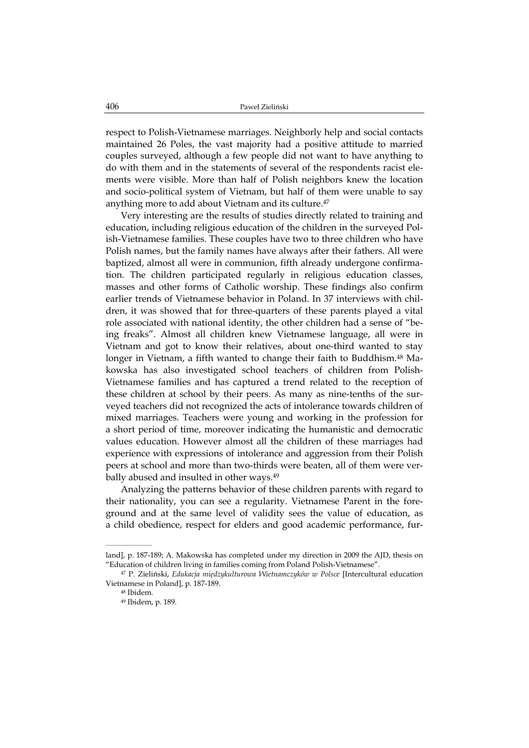respect to Polish-Vietnamese marriages. Neighborly help and social contacts maintained 26 Poles, the vast majority had a positive attitude to married couples surveyed, although a few people did not want to have anything to do with them and in the statements of several of the respondents racist elements were visible. More than half of Polish neighbors knew the location and socio-political system of Vietnam, but half of them were unable to say anything more to add about Vietnam and its culture.<sup>47</sup>

Very interesting are the results of studies directly related to training and education, including religious education of the children in the surveyed Polish-Vietnamese families. These couples have two to three children who have Polish names, but the family names have always after their fathers. All were baptized, almost all were in communion, fifth already undergone confirmation. The children participated regularly in religious education classes, masses and other forms of Catholic worship. These findings also confirm earlier trends of Vietnamese behavior in Poland. In 37 interviews with children, it was showed that for three-quarters of these parents played a vital role associated with national identity, the other children had a sense of "being freaks". Almost all children knew Vietnamese language, all were in Vietnam and got to know their relatives, about one-third wanted to stay longer in Vietnam, a fifth wanted to change their faith to Buddhism.<sup>48</sup> Makowska has also investigated school teachers of children from Polish-Vietnamese families and has captured a trend related to the reception of these children at school by their peers. As many as nine-tenths of the surveyed teachers did not recognized the acts of intolerance towards children of mixed marriages. Teachers were young and working in the profession for a short period of time, moreover indicating the humanistic and democratic values education. However almost all the children of these marriages had experience with expressions of intolerance and aggression from their Polish peers at school and more than two-thirds were beaten, all of them were verbally abused and insulted in other ways.<sup>49</sup>

Analyzing the patterns behavior of these children parents with regard to their nationality, you can see a regularity. Vietnamese Parent in the foreground and at the same level of validity sees the value of education, as a child obedience, respect for elders and good academic performance, fur-

land], p. 187-189; A. Makowska has completed under my direction in 2009 the AJD, thesis on "Education of children living in families coming from Poland Polish-Vietnamese".

<sup>47</sup> P. Zieliński, *Edukacja międzykulturowa Wietnamczyków w Polsce* [Intercultural education Vietnamese in Poland], p. 187-189.

<sup>48</sup> Ibidem.

<sup>49</sup> Ibidem, p. 189.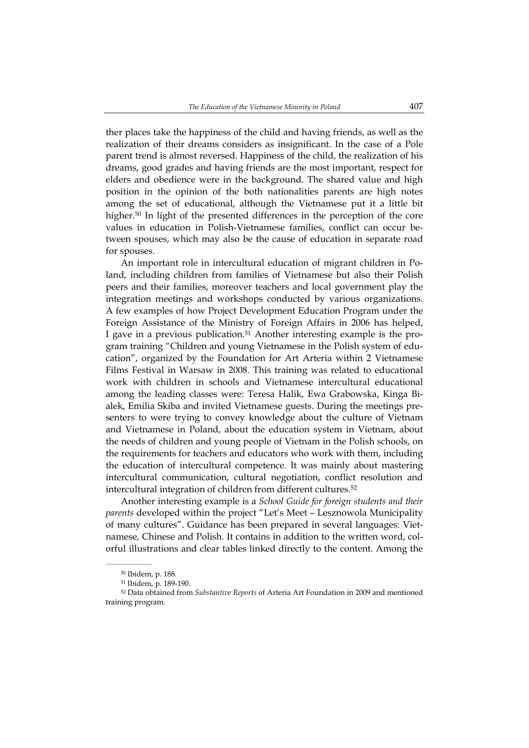ther places take the happiness of the child and having friends, as well as the realization of their dreams considers as insignificant. In the case of a Pole parent trend is almost reversed. Happiness of the child, the realization of his dreams, good grades and having friends are the most important, respect for elders and obedience were in the background. The shared value and high position in the opinion of the both nationalities parents are high notes among the set of educational, although the Vietnamese put it a little bit higher.<sup>50</sup> In light of the presented differences in the perception of the core values in education in Polish-Vietnamese families, conflict can occur between spouses, which may also be the cause of education in separate road for spouses.

An important role in intercultural education of migrant children in Poland, including children from families of Vietnamese but also their Polish peers and their families, moreover teachers and local government play the integration meetings and workshops conducted by various organizations. A few examples of how Project Development Education Program under the Foreign Assistance of the Ministry of Foreign Affairs in 2006 has helped, I gave in a previous publication.51 Another interesting example is the program training "Children and young Vietnamese in the Polish system of education", organized by the Foundation for Art Arteria within 2 Vietnamese Films Festival in Warsaw in 2008. This training was related to educational work with children in schools and Vietnamese intercultural educational among the leading classes were: Teresa Halik, Ewa Grabowska, Kinga Bialek, Emilia Skiba and invited Vietnamese guests. During the meetings presenters to were trying to convey knowledge about the culture of Vietnam and Vietnamese in Poland, about the education system in Vietnam, about the needs of children and young people of Vietnam in the Polish schools, on the requirements for teachers and educators who work with them, including the education of intercultural competence. It was mainly about mastering intercultural communication, cultural negotiation, conflict resolution and intercultural integration of children from different cultures.52

Another interesting example is a *School Guide for foreign students and their parents* developed within the project "Let's Meet – Lesznowola Municipality of many cultures". Guidance has been prepared in several languages: Vietnamese, Chinese and Polish. It contains in addition to the written word, colorful illustrations and clear tables linked directly to the content. Among the

<sup>50</sup> Ibidem, p. 188.

<sup>51</sup> Ibidem, p. 189-190.

<sup>52</sup> Data obtained from *Substantive Reports* of Arteria Art Foundation in 2009 and mentioned training program.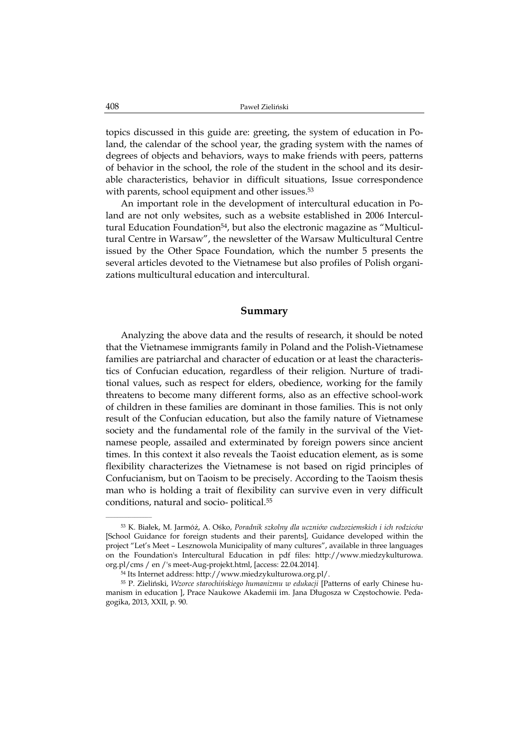topics discussed in this guide are: greeting, the system of education in Poland, the calendar of the school year, the grading system with the names of degrees of objects and behaviors, ways to make friends with peers, patterns of behavior in the school, the role of the student in the school and its desirable characteristics, behavior in difficult situations, Issue correspondence with parents, school equipment and other issues.<sup>53</sup>

An important role in the development of intercultural education in Poland are not only websites, such as a website established in 2006 Intercultural Education Foundation<sup>54</sup>, but also the electronic magazine as "Multicultural Centre in Warsaw", the newsletter of the Warsaw Multicultural Centre issued by the Other Space Foundation, which the number 5 presents the several articles devoted to the Vietnamese but also profiles of Polish organizations multicultural education and intercultural.

### **Summary**

Analyzing the above data and the results of research, it should be noted that the Vietnamese immigrants family in Poland and the Polish-Vietnamese families are patriarchal and character of education or at least the characteristics of Confucian education, regardless of their religion. Nurture of traditional values, such as respect for elders, obedience, working for the family threatens to become many different forms, also as an effective school-work of children in these families are dominant in those families. This is not only result of the Confucian education, but also the family nature of Vietnamese society and the fundamental role of the family in the survival of the Vietnamese people, assailed and exterminated by foreign powers since ancient times. In this context it also reveals the Taoist education element, as is some flexibility characterizes the Vietnamese is not based on rigid principles of Confucianism, but on Taoism to be precisely. According to the Taoism thesis man who is holding a trait of flexibility can survive even in very difficult conditions, natural and socio- political.55

<sup>53</sup> K. Białek, M. Jarmóż, A. Ośko, *Poradnik szkolny dla uczniów cudzoziemskich i ich rodziców* [School Guidance for foreign students and their parents], Guidance developed within the project "Let's Meet – Lesznowola Municipality of many cultures", available in three languages on the Foundation's Intercultural Education in pdf files: http://www.miedzykulturowa. org.pl/cms / en /'s meet-Aug-projekt.html, [access: 22.04.2014].

<sup>54</sup> Its Internet address: http://www.miedzykulturowa.org.pl/.

<sup>55</sup> P. Zieliński, *Wzorce starochińskiego humanizmu w edukacji* [Patterns of early Chinese humanism in education ], Prace Naukowe Akademii im. Jana Długosza w Częstochowie. Pedagogika, 2013, XXII, p. 90.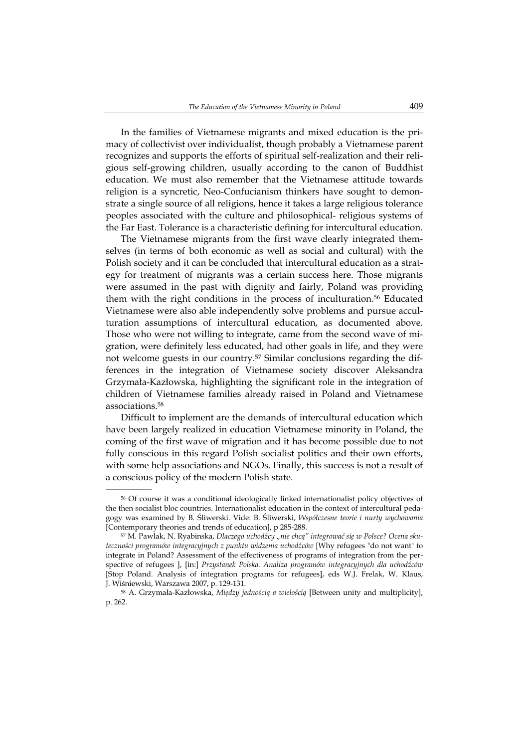In the families of Vietnamese migrants and mixed education is the primacy of collectivist over individualist, though probably a Vietnamese parent recognizes and supports the efforts of spiritual self-realization and their religious self-growing children, usually according to the canon of Buddhist education. We must also remember that the Vietnamese attitude towards religion is a syncretic, Neo-Confucianism thinkers have sought to demonstrate a single source of all religions, hence it takes a large religious tolerance peoples associated with the culture and philosophical- religious systems of the Far East. Tolerance is a characteristic defining for intercultural education.

The Vietnamese migrants from the first wave clearly integrated themselves (in terms of both economic as well as social and cultural) with the Polish society and it can be concluded that intercultural education as a strategy for treatment of migrants was a certain success here. Those migrants were assumed in the past with dignity and fairly, Poland was providing them with the right conditions in the process of inculturation.56 Educated Vietnamese were also able independently solve problems and pursue acculturation assumptions of intercultural education, as documented above. Those who were not willing to integrate, came from the second wave of migration, were definitely less educated, had other goals in life, and they were not welcome guests in our country.57 Similar conclusions regarding the differences in the integration of Vietnamese society discover Aleksandra Grzymała-Kazłowska, highlighting the significant role in the integration of children of Vietnamese families already raised in Poland and Vietnamese associations.58

Difficult to implement are the demands of intercultural education which have been largely realized in education Vietnamese minority in Poland, the coming of the first wave of migration and it has become possible due to not fully conscious in this regard Polish socialist politics and their own efforts, with some help associations and NGOs. Finally, this success is not a result of a conscious policy of the modern Polish state.

 $\mathcal{L}=\mathcal{L}^{\text{max}}$ 

<sup>56</sup> Of course it was a conditional ideologically linked internationalist policy objectives of the then socialist bloc countries. Internationalist education in the context of intercultural pedagogy was examined by B. Śliwerski. Vide: B. Śliwerski, *Współczesne teorie i nurty wychowania* [Contemporary theories and trends of education], p 285-288.

<sup>57</sup> M. Pawlak, N. Ryabinska, *Dlaczego uchodźcy "nie chcą" integrować się w Polsce? Ocena skuteczności programów integracyjnych z punktu widzenia uchodźców* [Why refugees "do not want" to integrate in Poland? Assessment of the effectiveness of programs of integration from the perspective of refugees ], [in:] *Przystanek Polska. Analiza programów integracyjnych dla uchodźców* [Stop Poland. Analysis of integration programs for refugees], eds W.J. Frelak, W. Klaus, J. Wiśniewski, Warszawa 2007, p. 129-131.

<sup>58</sup> A. Grzymała-Kazłowska, *Między jednością a wielością* [Between unity and multiplicity], p. 262.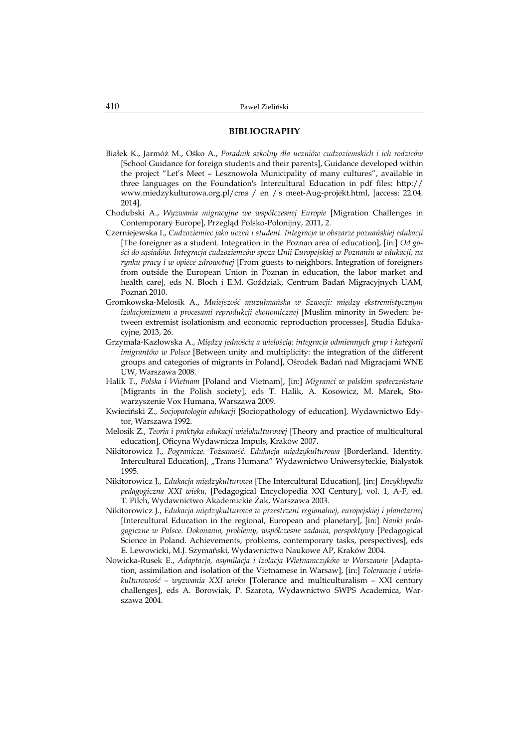#### **BIBLIOGRAPHY**

- Białek K., Jarmóż M., Ośko A., *Poradnik szkolny dla uczniów cudzoziemskich i ich rodziców* [School Guidance for foreign students and their parents], Guidance developed within the project "Let's Meet – Lesznowola Municipality of many cultures", available in three languages on the Foundation's Intercultural Education in pdf files: http:// www.miedzykulturowa.org.pl/cms / en /'s meet-Aug-projekt.html, [access: 22.04. 2014].
- Chodubski A., *Wyzwania migracyjne we współczesnej Europie* [Migration Challenges in Contemporary Europe], Przegląd Polsko-Polonijny, 2011, 2.
- Czerniejewska I., *Cudzoziemiec jako uczeń i student. Integracja w obszarze poznańskiej edukacji*  [The foreigner as a student. Integration in the Poznan area of education], [in:] *Od gości do sąsiadów. Integracja cudzoziemców spoza Unii Europejskiej w Poznaniu w edukacji, na rynku pracy i w opiece zdrowotnej* [From guests to neighbors. Integration of foreigners from outside the European Union in Poznan in education, the labor market and health care], eds N. Bloch i E.M. Goździak, Centrum Badań Migracyjnych UAM, Poznań 2010.
- Gromkowska-Melosik A., *Mniejszość muzułmańska w Szwecji: między ekstremistycznym izolacjonizmem a procesami reprodukcji ekonomicznej* [Muslim minority in Sweden: between extremist isolationism and economic reproduction processes], Studia Edukacyjne, 2013, 26.
- Grzymała-Kazłowska A., *Między jednością a wielością: integracja odmiennych grup i kategorii imigrantów w Polsce* [Between unity and multiplicity: the integration of the different groups and categories of migrants in Poland], Ośrodek Badań nad Migracjami WNE UW, Warszawa 2008.
- Halik T., *Polska i Wietnam* [Poland and Vietnam], [in:] *Migranci w polskim społeczeństwie* [Migrants in the Polish society], eds T. Halik, A. Kosowicz, M. Marek, Stowarzyszenie Vox Humana, Warszawa 2009.
- Kwieciński Z., *Socjopatologia edukacji* [Sociopathology of education], Wydawnictwo Edytor, Warszawa 1992.
- Melosik Z., *Teoria i praktyka edukacji wielokulturowej* [Theory and practice of multicultural education], Oficyna Wydawnicza Impuls, Kraków 2007.
- Nikitorowicz J., *Pogranicze. Tożsamość. Edukacja międzykulturowa* [Borderland. Identity. Intercultural Education], "Trans Humana" Wydawnictwo Uniwersyteckie, Białystok 1995.
- Nikitorowicz J., *Edukacja międzykulturowa* [The Intercultural Education], [in:] *Encyklopedia pedagogiczna XXI wieku*, [Pedagogical Encyclopedia XXI Century], vol. 1, A-F, ed. T. Pilch, Wydawnictwo Akademickie Żak, Warszawa 2003.
- Nikitorowicz J., *Edukacja międzykulturowa w przestrzeni regionalnej, europejskiej i planetarnej* [Intercultural Education in the regional, European and planetary], [in:] *Nauki pedagogiczne w Polsce. Dokonania, problemy, współczesne zadania, perspektywy* [Pedagogical Science in Poland. Achievements, problems, contemporary tasks, perspectives], eds E. Lewowicki, M.J. Szymański, Wydawnictwo Naukowe AP, Kraków 2004.
- Nowicka-Rusek E., *Adaptacja, asymilacja i izolacja Wietnamczyków w Warszawie* [Adaptation, assimilation and isolation of the Vietnamese in Warsaw], [in:] *Tolerancja i wielokulturowość – wyzwania XXI wieku* [Tolerance and multiculturalism – XXI century challenges], eds A. Borowiak, P. Szarota, Wydawnictwo SWPS Academica, Warszawa 2004.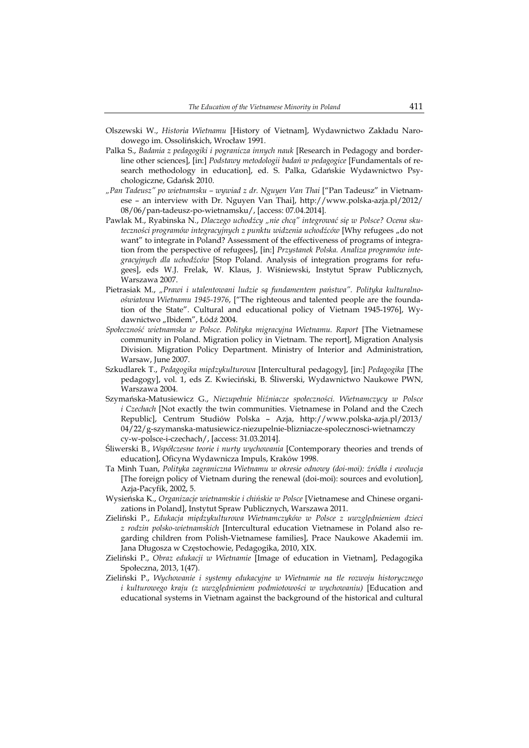- Olszewski W., *Historia Wietnamu* [History of Vietnam], Wydawnictwo Zakładu Narodowego im. Ossolińskich, Wrocław 1991.
- Palka S., *Badania z pedagogiki i pogranicza innych nauk* [Research in Pedagogy and borderline other sciences], [in:] *Podstawy metodologii badań w pedagogice* [Fundamentals of research methodology in education], ed. S. Palka, Gdańskie Wydawnictwo Psychologiczne, Gdańsk 2010.
- *"Pan Tadeusz" po wietnamsku wywiad z dr. Nguyen Van Thai* ["Pan Tadeusz" in Vietnamese – an interview with Dr. Nguyen Van Thai], http://www.polska-azja.pl/2012/ 08/06/pan-tadeusz-po-wietnamsku/, [access: 07.04.2014].
- Pawlak M., Ryabinska N., *Dlaczego uchodźcy "nie chcą" integrować się w Polsce? Ocena skuteczności programów integracyjnych z punktu widzenia uchodźców* [Why refugees "do not want" to integrate in Poland? Assessment of the effectiveness of programs of integration from the perspective of refugees], [in:] *Przystanek Polska. Analiza programów integracyjnych dla uchodźców* [Stop Poland. Analysis of integration programs for refugees], eds W.J. Frelak, W. Klaus, J. Wiśniewski, Instytut Spraw Publicznych, Warszawa 2007.
- Pietrasiak M., *"Prawi i utalentowani ludzie są fundamentem państwa". Polityka kulturalnooświatowa Wietnamu 1945-1976*, ["The righteous and talented people are the foundation of the State". Cultural and educational policy of Vietnam 1945-1976], Wydawnictwo "Ibidem", Łódź 2004.
- *Społeczność wietnamska w Polsce. Polityka migracyjna Wietnamu. Raport* [The Vietnamese community in Poland. Migration policy in Vietnam. The report], Migration Analysis Division. Migration Policy Department. Ministry of Interior and Administration, Warsaw, June 2007.
- Szkudlarek T., *Pedagogika międzykulturowa* [Intercultural pedagogy], [in:] *Pedagogika* [The pedagogy], vol. 1, eds Z. Kwieciński, B. Śliwerski, Wydawnictwo Naukowe PWN, Warszawa 2004.
- Szymańska-Matusiewicz G., *Niezupełnie bliźniacze społeczności. Wietnamczycy w Polsce i Czechach* [Not exactly the twin communities. Vietnamese in Poland and the Czech Republic], Centrum Studiów Polska – Azja, http://www.polska-azja.pl/2013/ 04/22/g-szymanska-matusiewicz-niezupelnie-blizniacze-spolecznosci-wietnamczy cy-w-polsce-i-czechach/, [access: 31.03.2014].
- Śliwerski B., *Współczesne teorie i nurty wychowania* [Contemporary theories and trends of education], Oficyna Wydawnicza Impuls, Kraków 1998.
- Ta Minh Tuan, *Polityka zagraniczna Wietnamu w okresie odnowy (doi-moi): źródła i ewolucja*  [The foreign policy of Vietnam during the renewal (doi-moi): sources and evolution], Azja-Pacyfik, 2002, 5.
- Wysieńska K., *Organizacje wietnamskie i chińskie w Polsce* [Vietnamese and Chinese organizations in Poland], Instytut Spraw Publicznych, Warszawa 2011.
- Zieliński P., *Edukacja międzykulturowa Wietnamczyków w Polsce z uwzględnieniem dzieci z rodzin polsko-wietnamskich* [Intercultural education Vietnamese in Poland also regarding children from Polish-Vietnamese families], Prace Naukowe Akademii im. Jana Długosza w Częstochowie, Pedagogika, 2010, XIX.
- Zieliński P., *Obraz edukacji w Wietnamie* [Image of education in Vietnam], Pedagogika Społeczna, 2013, 1(47).
- Zieliński P., *Wychowanie i systemy edukacyjne w Wietnamie na tle rozwoju historycznego i kulturowego kraju (z uwzględnieniem podmiotowości w wychowaniu)* [Education and educational systems in Vietnam against the background of the historical and cultural